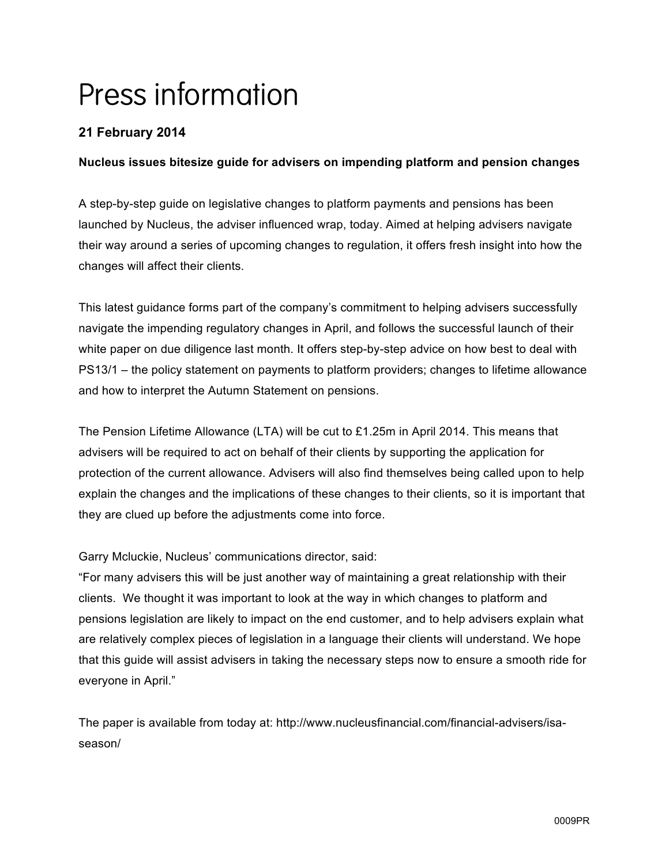# Press information

# **21 February 2014**

# **Nucleus issues bitesize guide for advisers on impending platform and pension changes**

A step-by-step guide on legislative changes to platform payments and pensions has been launched by Nucleus, the adviser influenced wrap, today. Aimed at helping advisers navigate their way around a series of upcoming changes to regulation, it offers fresh insight into how the changes will affect their clients.

This latest guidance forms part of the company's commitment to helping advisers successfully navigate the impending regulatory changes in April, and follows the successful launch of their white paper on due diligence last month. It offers step-by-step advice on how best to deal with PS13/1 – the policy statement on payments to platform providers; changes to lifetime allowance and how to interpret the Autumn Statement on pensions.

The Pension Lifetime Allowance (LTA) will be cut to £1.25m in April 2014. This means that advisers will be required to act on behalf of their clients by supporting the application for protection of the current allowance. Advisers will also find themselves being called upon to help explain the changes and the implications of these changes to their clients, so it is important that they are clued up before the adjustments come into force.

Garry Mcluckie, Nucleus' communications director, said:

"For many advisers this will be just another way of maintaining a great relationship with their clients. We thought it was important to look at the way in which changes to platform and pensions legislation are likely to impact on the end customer, and to help advisers explain what are relatively complex pieces of legislation in a language their clients will understand. We hope that this guide will assist advisers in taking the necessary steps now to ensure a smooth ride for everyone in April."

The paper is available from today at: http://www.nucleusfinancial.com/financial-advisers/isaseason/